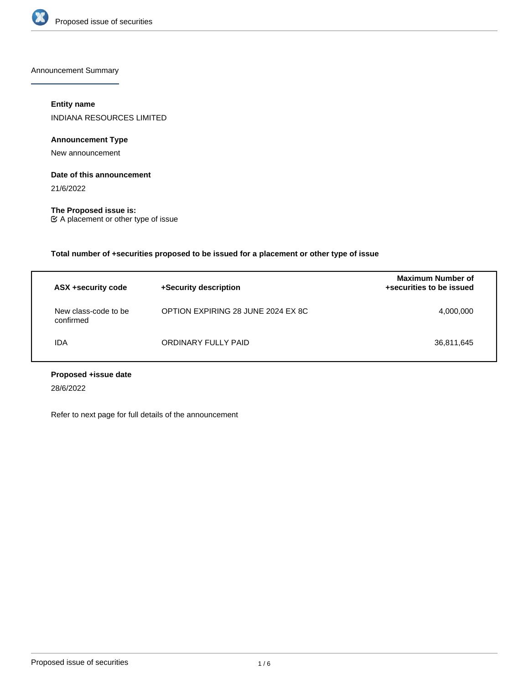

Announcement Summary

### **Entity name**

INDIANA RESOURCES LIMITED

## **Announcement Type**

New announcement

#### **Date of this announcement**

21/6/2022

**The Proposed issue is:** A placement or other type of issue

**Total number of +securities proposed to be issued for a placement or other type of issue**

| ASX +security code                | +Security description              | <b>Maximum Number of</b><br>+securities to be issued |
|-----------------------------------|------------------------------------|------------------------------------------------------|
| New class-code to be<br>confirmed | OPTION EXPIRING 28 JUNE 2024 EX 8C | 4,000,000                                            |
| IDA                               | ORDINARY FULLY PAID                | 36,811,645                                           |

## **Proposed +issue date**

28/6/2022

Refer to next page for full details of the announcement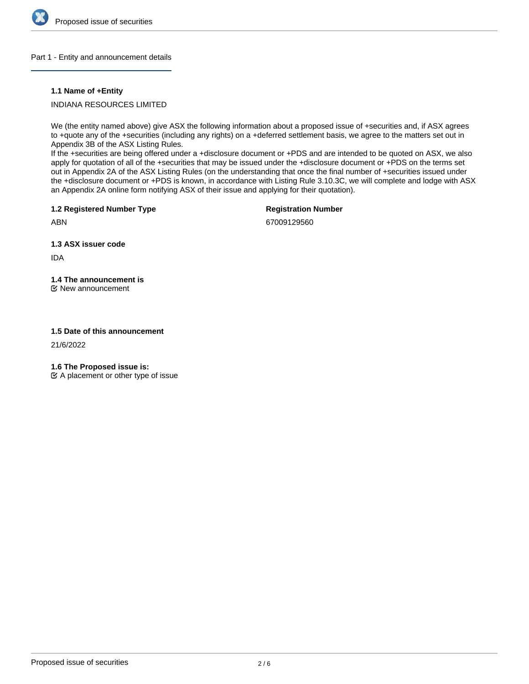

#### Part 1 - Entity and announcement details

#### **1.1 Name of +Entity**

### INDIANA RESOURCES LIMITED

We (the entity named above) give ASX the following information about a proposed issue of +securities and, if ASX agrees to +quote any of the +securities (including any rights) on a +deferred settlement basis, we agree to the matters set out in Appendix 3B of the ASX Listing Rules.

If the +securities are being offered under a +disclosure document or +PDS and are intended to be quoted on ASX, we also apply for quotation of all of the +securities that may be issued under the +disclosure document or +PDS on the terms set out in Appendix 2A of the ASX Listing Rules (on the understanding that once the final number of +securities issued under the +disclosure document or +PDS is known, in accordance with Listing Rule 3.10.3C, we will complete and lodge with ASX an Appendix 2A online form notifying ASX of their issue and applying for their quotation).

**1.2 Registered Number Type**

**Registration Number**

ABN

67009129560

**1.3 ASX issuer code**

IDA

# **1.4 The announcement is**

New announcement

#### **1.5 Date of this announcement**

21/6/2022

**1.6 The Proposed issue is:**

 $\mathfrak{C}$  A placement or other type of issue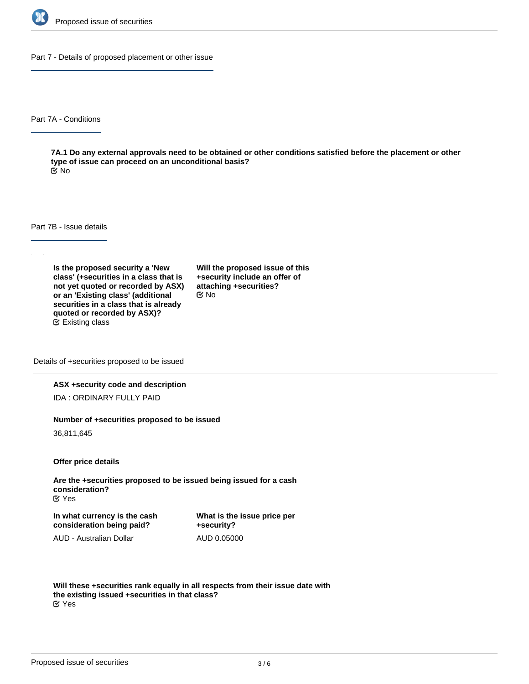

Part 7 - Details of proposed placement or other issue

Part 7A - Conditions

**7A.1 Do any external approvals need to be obtained or other conditions satisfied before the placement or other type of issue can proceed on an unconditional basis?** No

Part 7B - Issue details

**Is the proposed security a 'New class' (+securities in a class that is not yet quoted or recorded by ASX) or an 'Existing class' (additional securities in a class that is already quoted or recorded by ASX)?** Existing class

**Will the proposed issue of this +security include an offer of attaching +securities?** No

Details of +securities proposed to be issued

#### **ASX +security code and description**

IDA : ORDINARY FULLY PAID

#### **Number of +securities proposed to be issued**

36,811,645

**Offer price details**

**Are the +securities proposed to be issued being issued for a cash consideration?** Yes

**In what currency is the cash consideration being paid?**

**What is the issue price per +security?** AUD 0.05000

AUD - Australian Dollar

**Will these +securities rank equally in all respects from their issue date with the existing issued +securities in that class?** Yes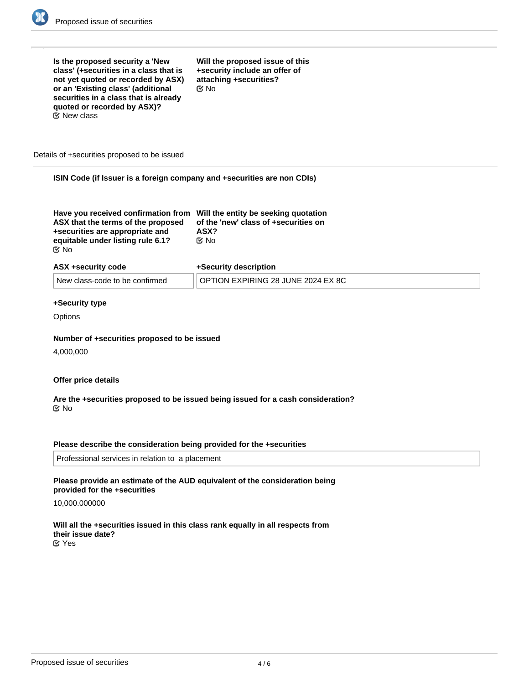

| Is the proposed security a 'New<br>Will the proposed issue of this<br>class' (+securities in a class that is<br>+security include an offer of<br>attaching +securities?<br>not yet quoted or recorded by ASX)<br>or an 'Existing class' (additional<br>$\alpha$ No<br>securities in a class that is already<br>quoted or recorded by ASX)?<br>$\mathfrak C$ New class<br>Details of +securities proposed to be issued |  |  |  |
|-----------------------------------------------------------------------------------------------------------------------------------------------------------------------------------------------------------------------------------------------------------------------------------------------------------------------------------------------------------------------------------------------------------------------|--|--|--|
| ISIN Code (if Issuer is a foreign company and +securities are non CDIs)                                                                                                                                                                                                                                                                                                                                               |  |  |  |

|--|

| ASX +security code             | +Security description              |
|--------------------------------|------------------------------------|
| New class-code to be confirmed | OPTION EXPIRING 28 JUNE 2024 EX 8C |

#### **+Security type**

**Options** 

#### **Number of +securities proposed to be issued**

4,000,000

#### **Offer price details**

#### **Are the +securities proposed to be issued being issued for a cash consideration?** No

#### **Please describe the consideration being provided for the +securities**

Professional services in relation to a placement

#### **Please provide an estimate of the AUD equivalent of the consideration being provided for the +securities**

#### 10,000.000000

**Will all the +securities issued in this class rank equally in all respects from their issue date?** Yes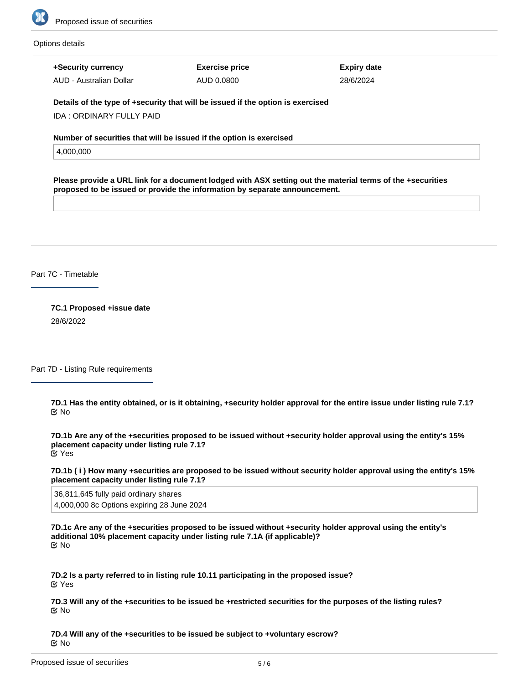

#### Options details

**+Security currency**

AUD - Australian Dollar

**Exercise price** AUD 0.0800

**Expiry date** 28/6/2024

**Details of the type of +security that will be issued if the option is exercised**

IDA : ORDINARY FULLY PAID

**Number of securities that will be issued if the option is exercised**

4,000,000

**Please provide a URL link for a document lodged with ASX setting out the material terms of the +securities proposed to be issued or provide the information by separate announcement.**

Part 7C - Timetable

**7C.1 Proposed +issue date** 28/6/2022

Part 7D - Listing Rule requirements

**7D.1 Has the entity obtained, or is it obtaining, +security holder approval for the entire issue under listing rule 7.1?** No

**7D.1b Are any of the +securities proposed to be issued without +security holder approval using the entity's 15% placement capacity under listing rule 7.1?** Yes

**7D.1b ( i ) How many +securities are proposed to be issued without security holder approval using the entity's 15% placement capacity under listing rule 7.1?**

36,811,645 fully paid ordinary shares 4,000,000 8c Options expiring 28 June 2024

**7D.1c Are any of the +securities proposed to be issued without +security holder approval using the entity's additional 10% placement capacity under listing rule 7.1A (if applicable)?** No

**7D.2 Is a party referred to in listing rule 10.11 participating in the proposed issue?** Yes

**7D.3 Will any of the +securities to be issued be +restricted securities for the purposes of the listing rules?** No

**7D.4 Will any of the +securities to be issued be subject to +voluntary escrow?** No